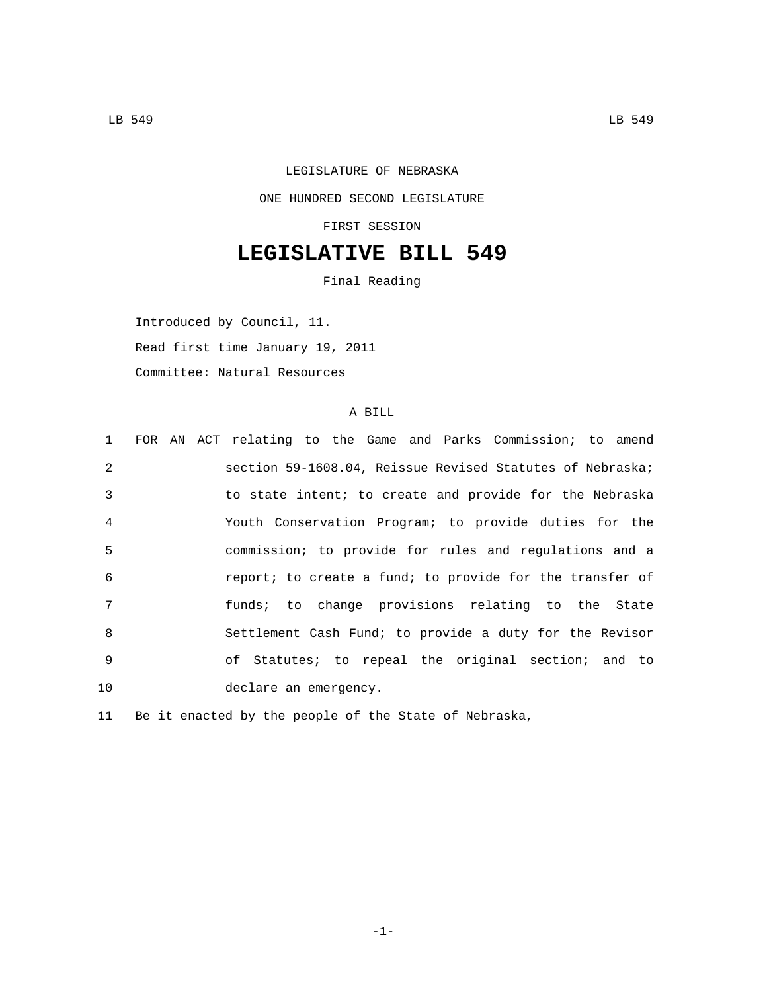## LEGISLATURE OF NEBRASKA ONE HUNDRED SECOND LEGISLATURE FIRST SESSION

## **LEGISLATIVE BILL 549**

Final Reading

Introduced by Council, 11. Read first time January 19, 2011 Committee: Natural Resources

## A BILL

| 1              | FOR AN ACT relating to the Game and Parks Commission; to amend |
|----------------|----------------------------------------------------------------|
| $\mathfrak{D}$ | section 59-1608.04, Reissue Revised Statutes of Nebraska;      |
| 3              | to state intent; to create and provide for the Nebraska        |
| $\overline{4}$ | Youth Conservation Program; to provide duties for the          |
| 5              | commission; to provide for rules and regulations and a         |
| 6              | report; to create a fund; to provide for the transfer of       |
| 7              | funds; to change provisions relating to the State              |
| 8              | Settlement Cash Fund; to provide a duty for the Revisor        |
| 9              | of Statutes; to repeal the original section; and to            |
| 10             | declare an emergency.                                          |

11 Be it enacted by the people of the State of Nebraska,

-1-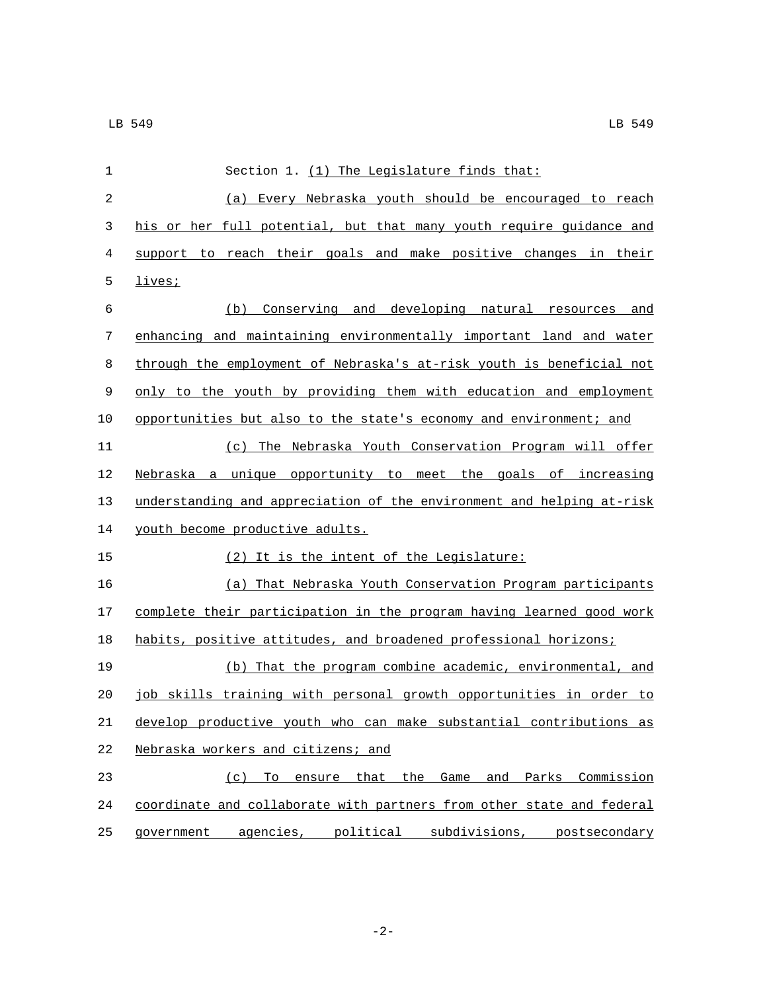| $\mathbf 1$ | Section 1. (1) The Legislature finds that:                            |
|-------------|-----------------------------------------------------------------------|
| 2           | (a) Every Nebraska youth should be encouraged to reach                |
| 3           | his or her full potential, but that many youth require guidance and   |
| 4           | support to reach their goals and make positive changes in their       |
| 5           | lives;                                                                |
| 6           | (b) Conserving and developing natural resources and                   |
| 7           | enhancing and maintaining environmentally important land and water    |
| 8           | through the employment of Nebraska's at-risk youth is beneficial not  |
| 9           | only to the youth by providing them with education and employment     |
| 10          | opportunities but also to the state's economy and environment; and    |
| 11          | (c) The Nebraska Youth Conservation Program will offer                |
| 12          | Nebraska a unique opportunity to meet the goals of increasing         |
| 13          | understanding and appreciation of the environment and helping at-risk |
| 14          | youth become productive adults.                                       |
| 15          | (2) It is the intent of the Legislature:                              |
| 16          | (a) That Nebraska Youth Conservation Program participants             |
| 17          | complete their participation in the program having learned good work  |
| 18          | habits, positive attitudes, and broadened professional horizons;      |
| 19          | (b) That the program combine academic, environmental, and             |
| 20          | job skills training with personal growth opportunities in order to    |
| 21          | develop productive youth who can make substantial contributions as    |
| 22          | Nebraska workers and citizens; and                                    |
| 23          | To ensure that the Game and Parks Commission<br>(c)                   |
| 24          | coordinate and collaborate with partners from other state and federal |
| 25          | government agencies, political subdivisions, postsecondary            |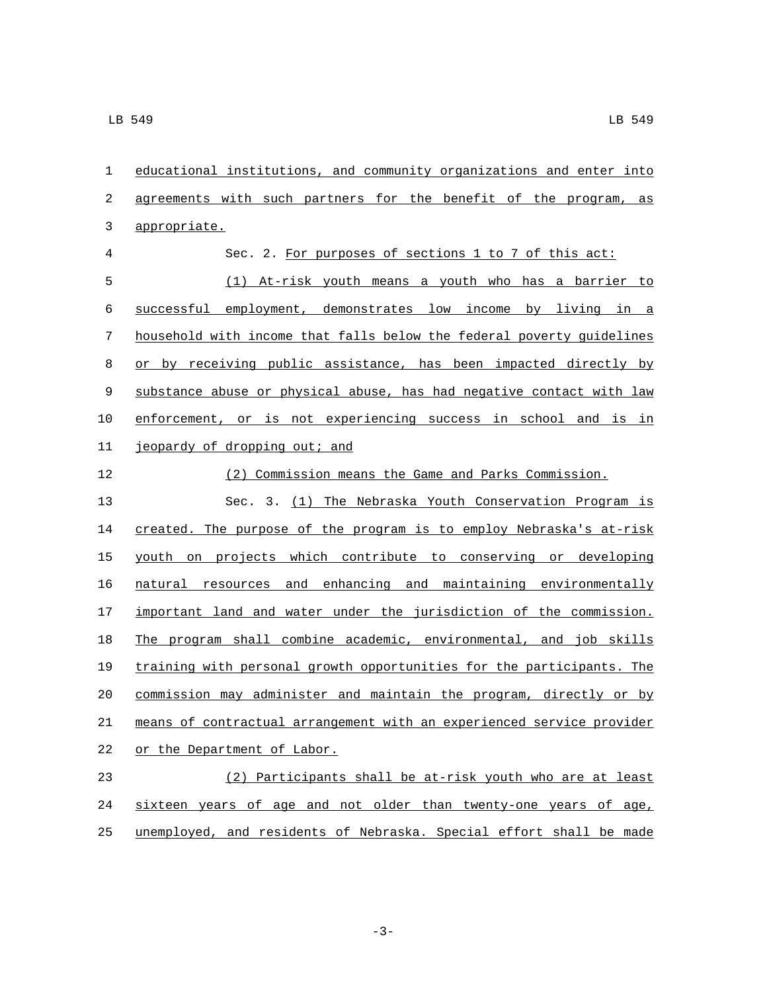| $\mathbf 1$ | educational institutions, and community organizations and enter into  |
|-------------|-----------------------------------------------------------------------|
| 2           | agreements with such partners for the benefit of the program, as      |
| 3           | appropriate.                                                          |
| 4           | Sec. 2. For purposes of sections 1 to 7 of this act:                  |
| 5           | At-risk youth means a youth who has a barrier to<br>(1)               |
| 6           | successful employment, demonstrates low income by living in a         |
| 7           | household with income that falls below the federal poverty quidelines |
| 8           | or by receiving public assistance, has been impacted directly by      |
| 9           | substance abuse or physical abuse, has had negative contact with law  |
| 10          | enforcement, or is not experiencing success in school and is in       |
| 11          | jeopardy of dropping out; and                                         |
| 12          | (2) Commission means the Game and Parks Commission.                   |
| 13          | Sec. 3. (1) The Nebraska Youth Conservation Program is                |
| 14          | created. The purpose of the program is to employ Nebraska's at-risk   |
| 15          | youth on projects which contribute to conserving or developing        |
| 16          | natural resources and enhancing and maintaining environmentally       |
| 17          | important land and water under the jurisdiction of the commission.    |
| 18          | The program shall combine academic, environmental, and job skills     |
| 19          | training with personal growth opportunities for the participants. The |
| 20          | commission may administer and maintain the program, directly or by    |
| $2\sqrt{1}$ | means of contractual arrangement with an experienced service provider |
| 22          | or the Department of Labor.                                           |
| 23          | (2) Participants shall be at-risk youth who are at least              |
| 24          | sixteen years of age and not older than twenty-one years of age,      |
| 25          | unemployed, and residents of Nebraska. Special effort shall be made   |

-3-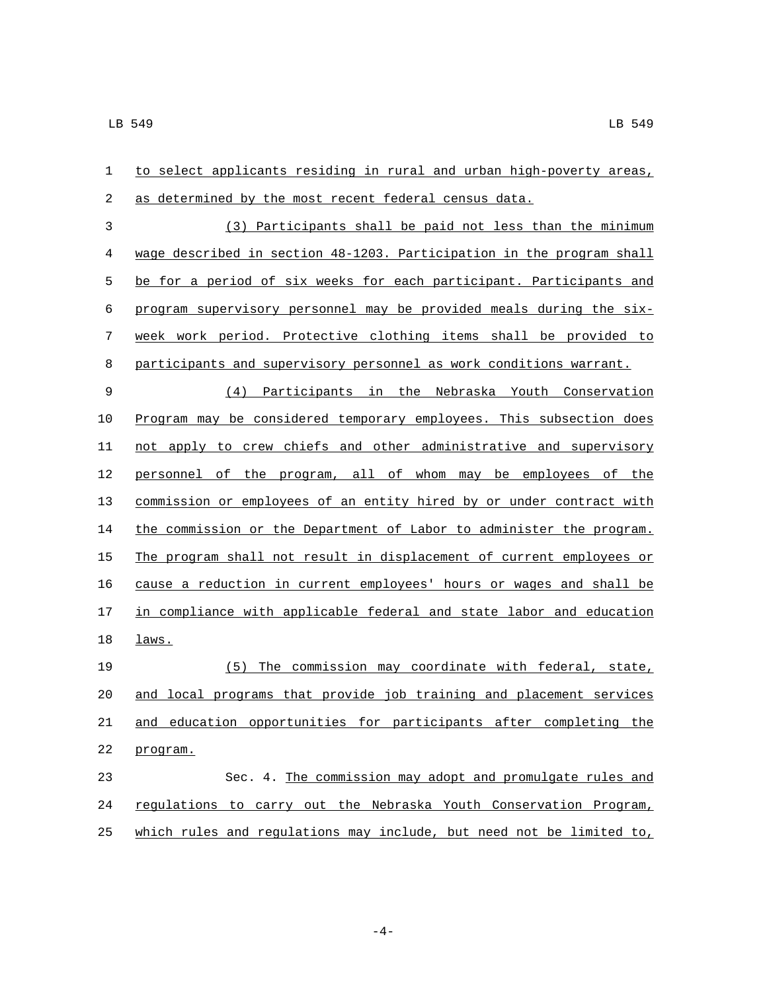| $\mathbf{1}$ | to select applicants residing in rural and urban high-poverty areas,  |
|--------------|-----------------------------------------------------------------------|
| 2            | as determined by the most recent federal census data.                 |
| 3            | (3) Participants shall be paid not less than the minimum              |
| 4            | wage described in section 48-1203. Participation in the program shall |
| 5            | be for a period of six weeks for each participant. Participants and   |
| 6            | program supervisory personnel may be provided meals during the six-   |
| 7            | week work period. Protective clothing items shall be provided to      |
| 8            | participants and supervisory personnel as work conditions warrant.    |
| 9            | (4) Participants in the Nebraska Youth Conservation                   |
| 10           | Program may be considered temporary employees. This subsection does   |
| 11           | not apply to crew chiefs and other administrative and supervisory     |
| 12           | personnel of the program, all of whom may be employees of the         |
| 13           | commission or employees of an entity hired by or under contract with  |
| 14           | the commission or the Department of Labor to administer the program.  |
| 15           | The program shall not result in displacement of current employees or  |
| 16           | cause a reduction in current employees' hours or wages and shall be   |
| 17           | in compliance with applicable federal and state labor and education   |
| 18           | laws.                                                                 |
| 19           | (5)<br>The commission may coordinate with federal, state,             |
| 20           | and local programs that provide job training and placement services   |
| 21           | and education opportunities for participants after completing the     |
| 22           | program.                                                              |
| 23           | Sec. 4. The commission may adopt and promulgate rules and             |
| 24           | regulations to carry out the Nebraska Youth Conservation Program,     |
| 25           | which rules and regulations may include, but need not be limited to,  |

 $-4-$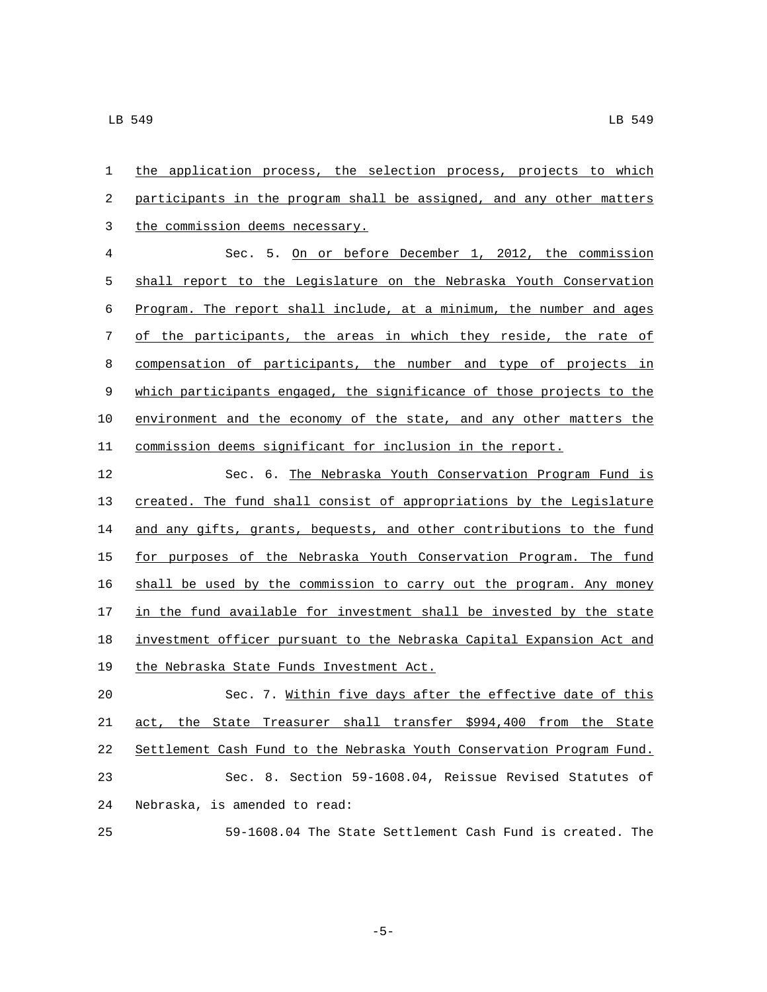the application process, the selection process, projects to which participants in the program shall be assigned, and any other matters 3 the commission deems necessary.

 Sec. 5. On or before December 1, 2012, the commission shall report to the Legislature on the Nebraska Youth Conservation Program. The report shall include, at a minimum, the number and ages of the participants, the areas in which they reside, the rate of compensation of participants, the number and type of projects in which participants engaged, the significance of those projects to the environment and the economy of the state, and any other matters the commission deems significant for inclusion in the report.

 Sec. 6. The Nebraska Youth Conservation Program Fund is created. The fund shall consist of appropriations by the Legislature 14 and any gifts, grants, bequests, and other contributions to the fund 15 for purposes of the Nebraska Youth Conservation Program. The fund shall be used by the commission to carry out the program. Any money 17 in the fund available for investment shall be invested by the state investment officer pursuant to the Nebraska Capital Expansion Act and 19 the Nebraska State Funds Investment Act.

 Sec. 7. Within five days after the effective date of this 21 act, the State Treasurer shall transfer \$994,400 from the State Settlement Cash Fund to the Nebraska Youth Conservation Program Fund. Sec. 8. Section 59-1608.04, Reissue Revised Statutes of 24 Nebraska, is amended to read:

59-1608.04 The State Settlement Cash Fund is created. The

-5-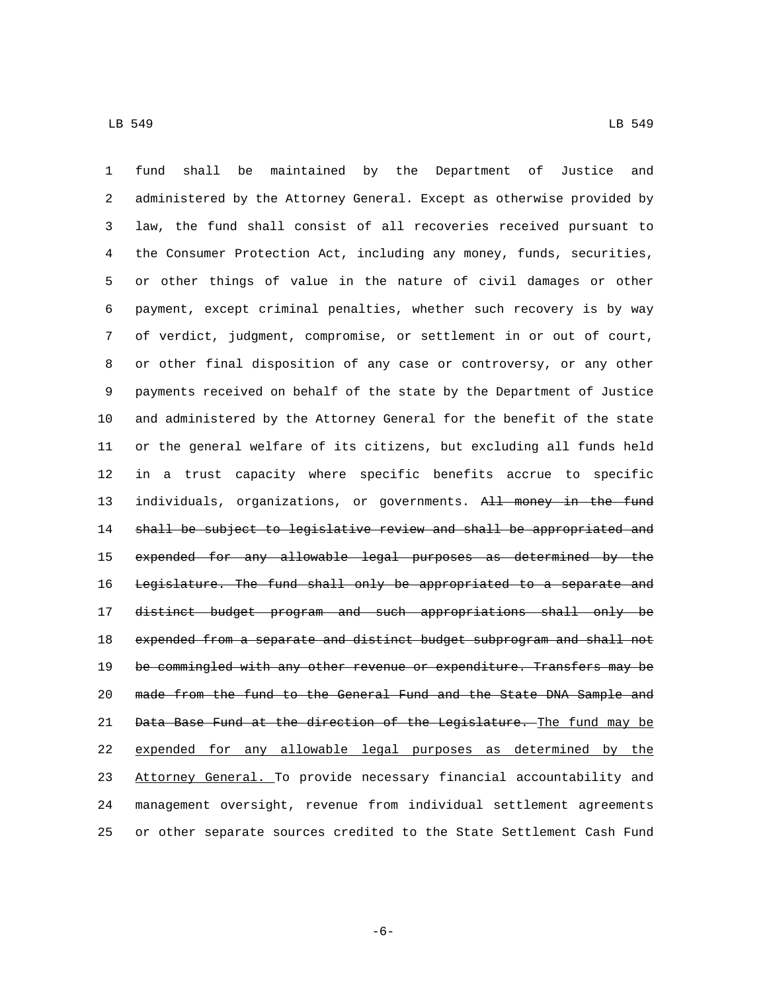fund shall be maintained by the Department of Justice and administered by the Attorney General. Except as otherwise provided by law, the fund shall consist of all recoveries received pursuant to the Consumer Protection Act, including any money, funds, securities, or other things of value in the nature of civil damages or other payment, except criminal penalties, whether such recovery is by way of verdict, judgment, compromise, or settlement in or out of court, or other final disposition of any case or controversy, or any other payments received on behalf of the state by the Department of Justice and administered by the Attorney General for the benefit of the state or the general welfare of its citizens, but excluding all funds held in a trust capacity where specific benefits accrue to specific 13 individuals, organizations, or governments. All money in the fund shall be subject to legislative review and shall be appropriated and expended for any allowable legal purposes as determined by the 16 Legislature. The fund shall only be appropriated to a separate and distinct budget program and such appropriations shall only be expended from a separate and distinct budget subprogram and shall not 19 be commingled with any other revenue or expenditure. Transfers may be made from the fund to the General Fund and the State DNA Sample and Data Base Fund at the direction of the Legislature. The fund may be expended for any allowable legal purposes as determined by the Attorney General. To provide necessary financial accountability and management oversight, revenue from individual settlement agreements or other separate sources credited to the State Settlement Cash Fund

-6-